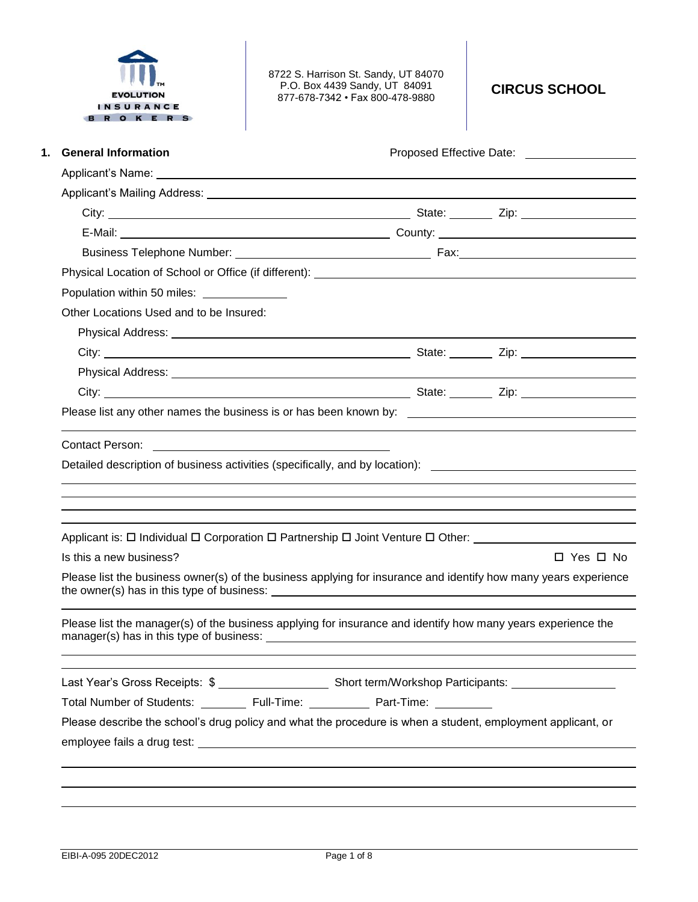

8722 S. Harrison St. Sandy, UT 84070 P.O. Box 4439 Sandy, UT 84091 877-678-7342 • Fax 800-478-9880

**CIRCUS SCHOOL**

| <b>General Information</b>                                                                                                 | Proposed Effective Date: <u>[11]</u> Proposed Effective Date:                                                   |
|----------------------------------------------------------------------------------------------------------------------------|-----------------------------------------------------------------------------------------------------------------|
|                                                                                                                            |                                                                                                                 |
|                                                                                                                            |                                                                                                                 |
|                                                                                                                            |                                                                                                                 |
|                                                                                                                            |                                                                                                                 |
|                                                                                                                            |                                                                                                                 |
|                                                                                                                            |                                                                                                                 |
| Population within 50 miles: ______________                                                                                 |                                                                                                                 |
| Other Locations Used and to be Insured:                                                                                    |                                                                                                                 |
| Physical Address: <u>Communications</u> of the contract of the contract of the contract of the contract of the contract of |                                                                                                                 |
|                                                                                                                            |                                                                                                                 |
|                                                                                                                            |                                                                                                                 |
|                                                                                                                            |                                                                                                                 |
|                                                                                                                            | Please list any other names the business is or has been known by: __________________________________            |
|                                                                                                                            |                                                                                                                 |
|                                                                                                                            | Detailed description of business activities (specifically, and by location): _________________________________  |
|                                                                                                                            | Applicant is: □ Individual □ Corporation □ Partnership □ Joint Venture □ Other: ___________________             |
| Is this a new business?                                                                                                    | $\Box$ Yes $\Box$ No                                                                                            |
|                                                                                                                            | Please list the business owner(s) of the business applying for insurance and identify how many years experience |
|                                                                                                                            | Please list the manager(s) of the business applying for insurance and identify how many years experience the    |
|                                                                                                                            |                                                                                                                 |
|                                                                                                                            |                                                                                                                 |
| Total Number of Students: __________ Full-Time: _____________ Part-Time: ________                                          |                                                                                                                 |
|                                                                                                                            | Please describe the school's drug policy and what the procedure is when a student, employment applicant, or     |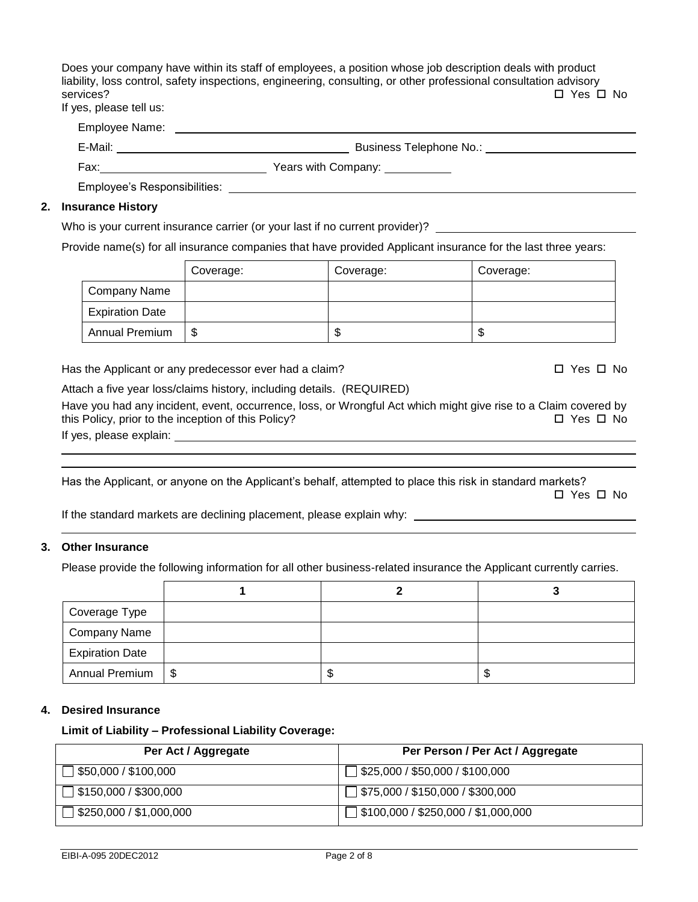Does your company have within its staff of employees, a position whose job description deals with product liability, loss control, safety inspections, engineering, consulting, or other professional consultation advisory services?  $\square$  Yes  $\square$  No If yes, please tell us:

| Employee Name: |                         |
|----------------|-------------------------|
| E-Mail:        | Business Telephone No.: |
| Fax:           | Years with Company:     |

Employee's Responsibilities:

### **2. Insurance History**

Who is your current insurance carrier (or your last if no current provider)?

Provide name(s) for all insurance companies that have provided Applicant insurance for the last three years:

|                        | Coverage: | Coverage: | Coverage: |
|------------------------|-----------|-----------|-----------|
| Company Name           |           |           |           |
| <b>Expiration Date</b> |           |           |           |
| <b>Annual Premium</b>  | S         | T<br>Ф    | J         |

Has the Applicant or any predecessor ever had a claim?  $\square$  Yes  $\square$  No

Attach a five year loss/claims history, including details. (REQUIRED)

Have you had any incident, event, occurrence, loss, or Wrongful Act which might give rise to a Claim covered by<br>this Policy. prior to the inception of this Policy? this Policy, prior to the inception of this Policy? If yes, please explain:

Has the Applicant, or anyone on the Applicant's behalf, attempted to place this risk in standard markets?

□ Yes □ No

If the standard markets are declining placement, please explain why:

## **3. Other Insurance**

Please provide the following information for all other business-related insurance the Applicant currently carries.

| Coverage Type          |    |    |
|------------------------|----|----|
| <b>Company Name</b>    |    |    |
| <b>Expiration Date</b> |    |    |
| Annual Premium   \$    | ۰D | ъD |

### **4. Desired Insurance**

#### **Limit of Liability – Professional Liability Coverage:**

| Per Act / Aggregate          | Per Person / Per Act / Aggregate           |
|------------------------------|--------------------------------------------|
| $\sqrt{\$50,000}/\$100,000$  | $\Box$ \$25,000 / \$50,000 / \$100,000     |
| $\Box$ \$150,000 / \$300,000 | $\Box$ \$75,000 / \$150,000 / \$300,000    |
| ∫ \$250,000 / \$1,000,000    | $\Box$ \$100,000 / \$250,000 / \$1,000,000 |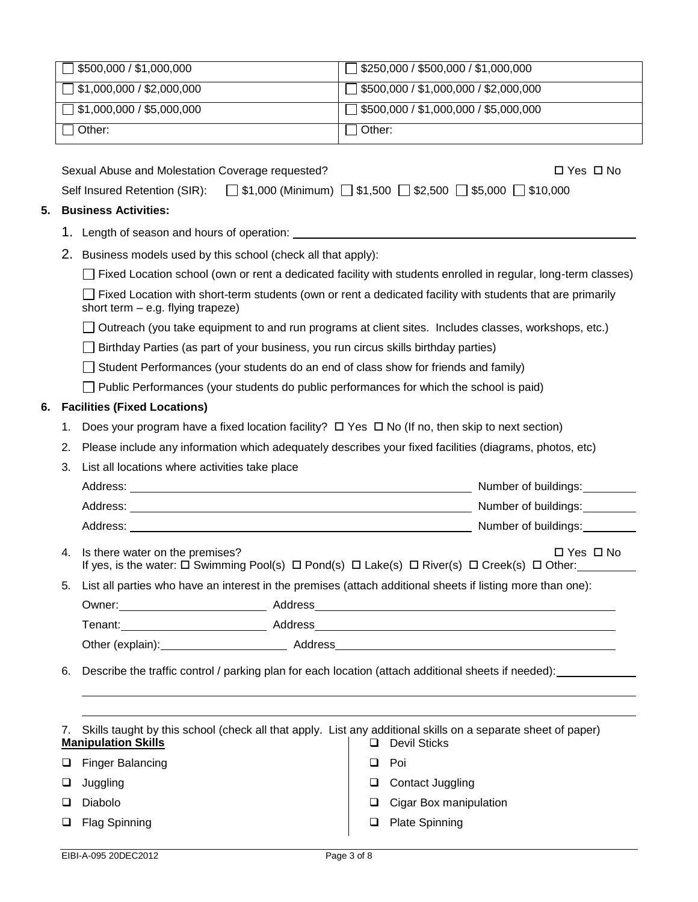|    |                                                                                                                                                                                                 | \$500,000 / \$1,000,000                                                                                                                                      | \$250,000 / \$500,000 / \$1,000,000                                                                                                                                                                                            |  |  |  |
|----|-------------------------------------------------------------------------------------------------------------------------------------------------------------------------------------------------|--------------------------------------------------------------------------------------------------------------------------------------------------------------|--------------------------------------------------------------------------------------------------------------------------------------------------------------------------------------------------------------------------------|--|--|--|
|    |                                                                                                                                                                                                 | \$1,000,000 / \$2,000,000                                                                                                                                    | \$500,000 / \$1,000,000 / \$2,000,000<br>$\mathbf{L}$                                                                                                                                                                          |  |  |  |
|    |                                                                                                                                                                                                 | \$1,000,000 / \$5,000,000                                                                                                                                    | \$500,000 / \$1,000,000 / \$5,000,000<br>$\mathbf{L}$                                                                                                                                                                          |  |  |  |
|    |                                                                                                                                                                                                 | Other:                                                                                                                                                       | Other:                                                                                                                                                                                                                         |  |  |  |
|    | Sexual Abuse and Molestation Coverage requested?<br>$\Box$ Yes $\Box$ No<br>Self Insured Retention (SIR): $\Box$ \$1,000 (Minimum) $\Box$ \$1,500 $\Box$ \$2,500 $\Box$ \$5,000 $\Box$ \$10,000 |                                                                                                                                                              |                                                                                                                                                                                                                                |  |  |  |
| 5. |                                                                                                                                                                                                 | <b>Business Activities:</b>                                                                                                                                  |                                                                                                                                                                                                                                |  |  |  |
|    |                                                                                                                                                                                                 |                                                                                                                                                              |                                                                                                                                                                                                                                |  |  |  |
|    | 2.                                                                                                                                                                                              | Business models used by this school (check all that apply):                                                                                                  |                                                                                                                                                                                                                                |  |  |  |
|    |                                                                                                                                                                                                 |                                                                                                                                                              | Fixed Location school (own or rent a dedicated facility with students enrolled in regular, long-term classes)                                                                                                                  |  |  |  |
|    |                                                                                                                                                                                                 | short term $-$ e.g. flying trapeze)                                                                                                                          | Fixed Location with short-term students (own or rent a dedicated facility with students that are primarily                                                                                                                     |  |  |  |
|    |                                                                                                                                                                                                 |                                                                                                                                                              | Outreach (you take equipment to and run programs at client sites. Includes classes, workshops, etc.)                                                                                                                           |  |  |  |
|    |                                                                                                                                                                                                 | Birthday Parties (as part of your business, you run circus skills birthday parties)                                                                          |                                                                                                                                                                                                                                |  |  |  |
|    |                                                                                                                                                                                                 | Student Performances (your students do an end of class show for friends and family)                                                                          |                                                                                                                                                                                                                                |  |  |  |
|    |                                                                                                                                                                                                 | $\Box$ Public Performances (your students do public performances for which the school is paid)                                                               |                                                                                                                                                                                                                                |  |  |  |
| 6. |                                                                                                                                                                                                 | <b>Facilities (Fixed Locations)</b>                                                                                                                          |                                                                                                                                                                                                                                |  |  |  |
|    | 1.                                                                                                                                                                                              | Does your program have a fixed location facility? □ Yes □ No (If no, then skip to next section)                                                              |                                                                                                                                                                                                                                |  |  |  |
|    | 2.                                                                                                                                                                                              | Please include any information which adequately describes your fixed facilities (diagrams, photos, etc)                                                      |                                                                                                                                                                                                                                |  |  |  |
|    | 3.                                                                                                                                                                                              | List all locations where activities take place                                                                                                               |                                                                                                                                                                                                                                |  |  |  |
|    |                                                                                                                                                                                                 |                                                                                                                                                              | Number of buildings:                                                                                                                                                                                                           |  |  |  |
|    |                                                                                                                                                                                                 |                                                                                                                                                              | Number of buildings:                                                                                                                                                                                                           |  |  |  |
|    | 4.                                                                                                                                                                                              | Is there water on the premises?<br>If yes, is the water: $\Box$ Swimming Pool(s) $\Box$ Pond(s) $\Box$ Lake(s) $\Box$ River(s) $\Box$ Creek(s) $\Box$ Other: | $\Box$ Yes $\Box$ No                                                                                                                                                                                                           |  |  |  |
|    | 5.                                                                                                                                                                                              | List all parties who have an interest in the premises (attach additional sheets if listing more than one):                                                   |                                                                                                                                                                                                                                |  |  |  |
|    |                                                                                                                                                                                                 |                                                                                                                                                              |                                                                                                                                                                                                                                |  |  |  |
|    |                                                                                                                                                                                                 |                                                                                                                                                              |                                                                                                                                                                                                                                |  |  |  |
|    |                                                                                                                                                                                                 |                                                                                                                                                              | Other (explain): Address Address Address Address Address Address Address Address Address Address Address Address Address Address Address Address Address Address Address Address Address Address Address Address Address Addre |  |  |  |
|    | 6.                                                                                                                                                                                              |                                                                                                                                                              | Describe the traffic control / parking plan for each location (attach additional sheets if needed): _________                                                                                                                  |  |  |  |
|    |                                                                                                                                                                                                 |                                                                                                                                                              |                                                                                                                                                                                                                                |  |  |  |
|    | 7.                                                                                                                                                                                              | Skills taught by this school (check all that apply. List any additional skills on a separate sheet of paper)<br><b>Manipulation Skills</b>                   | <b>Devil Sticks</b><br>□                                                                                                                                                                                                       |  |  |  |
|    |                                                                                                                                                                                                 |                                                                                                                                                              | Poi<br>⊔                                                                                                                                                                                                                       |  |  |  |
|    | u                                                                                                                                                                                               | <b>Finger Balancing</b>                                                                                                                                      |                                                                                                                                                                                                                                |  |  |  |
|    | ⊔                                                                                                                                                                                               | Juggling                                                                                                                                                     | <b>Contact Juggling</b><br>⊔                                                                                                                                                                                                   |  |  |  |
|    | ⊔                                                                                                                                                                                               | Diabolo<br><b>Flag Spinning</b>                                                                                                                              | Cigar Box manipulation<br>⊔<br><b>Plate Spinning</b><br>❏                                                                                                                                                                      |  |  |  |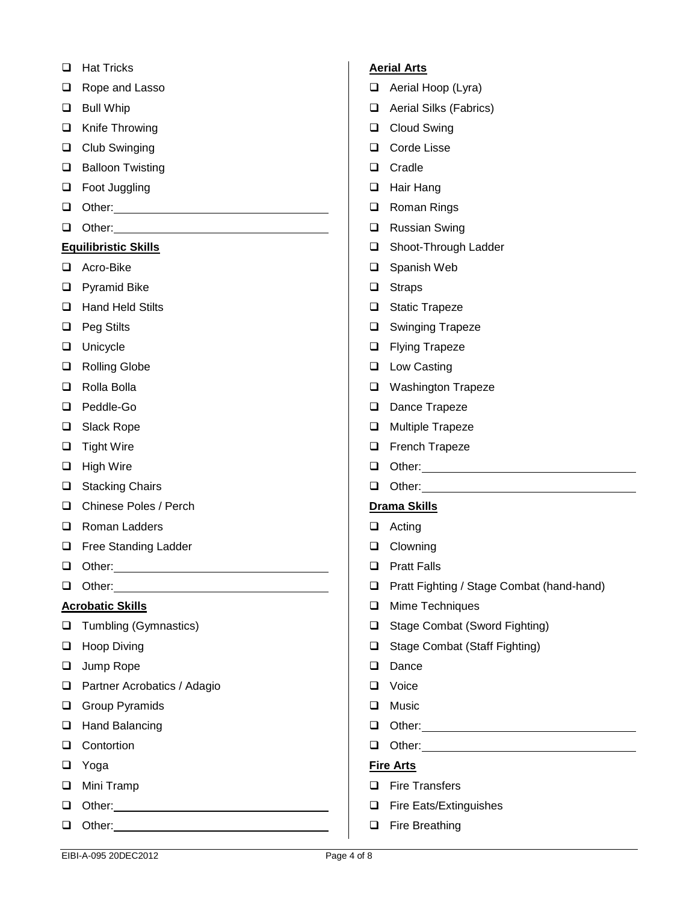- □ Hat Tricks
- □ Rope and Lasso
- **Q** Bull Whip
- □ Knife Throwing
- **Q** Club Swinging
- **Q** Balloon Twisting
- Foot Juggling
- **D** Other: **Details** Other: **Details** Other: **Details** Other: **Details** Other: **Details**
- Other:

## **Equilibristic Skills**

- □ Acro-Bike
- **Q** Pyramid Bike
- □ Hand Held Stilts
- □ Peg Stilts
- **Unicycle**
- □ Rolling Globe
- □ Rolla Bolla
- D Peddle-Go
- □ Slack Rope
- $\Box$  Tight Wire
- $\Box$  High Wire
- □ Stacking Chairs
- □ Chinese Poles / Perch
- □ Roman Ladders
- □ Free Standing Ladder
- **Q** Other: <u>Contact Contact Contact Contact Contact Contact Contact Contact Contact Contact Contact Contact Contact Contact Contact Contact Contact Contact Contact Contact Contact Contact Contact Contact Contact Contact Co</u>
- Other:

### **Acrobatic Skills**

- **Tumbling (Gymnastics)**
- **Hoop Diving**
- □ Jump Rope
- □ Partner Acrobatics / Adagio
- **Q** Group Pyramids
- □ Hand Balancing
- **Q** Contortion
- Yoga
- **D** Mini Tramp
- Other:  $\Box$  Other:
- **D** Other:

## **Aerial Arts**

- Aerial Hoop (Lyra)
- □ Aerial Silks (Fabrics)
- **Q** Cloud Swing
- □ Corde Lisse
- **Q** Cradle
- □ Hair Hang
- **Q** Roman Rings
- **Q** Russian Swing
- □ Shoot-Through Ladder
- □ Spanish Web
- □ Straps
- □ Static Trapeze
- □ Swinging Trapeze
- **D** Flying Trapeze
- **Low Casting**
- **Q** Washington Trapeze
- Dance Trapeze
- **Q** Multiple Trapeze
- **D** French Trapeze
- Other:
- **D** Other: **Details** Other:

# **Drama Skills**

- **Q** Acting
- **Q** Clowning
- **D** Pratt Falls
- □ Pratt Fighting / Stage Combat (hand-hand)
- **Q** Mime Techniques
- □ Stage Combat (Sword Fighting)
- □ Stage Combat (Staff Fighting)
- Dance
- D Voice
- **Q** Music
- **Q** Other: <u>Contract Contract Contract Contract Contract Contract Contract Contract Contract Contract Contract Contract Contract Contract Contract Contract Contract Contract Contract Contract Contract Contract Contract Con</u>
- Other:

### **Fire Arts**

- **D** Fire Transfers
- □ Fire Eats/Extinguishes
- **Q** Fire Breathing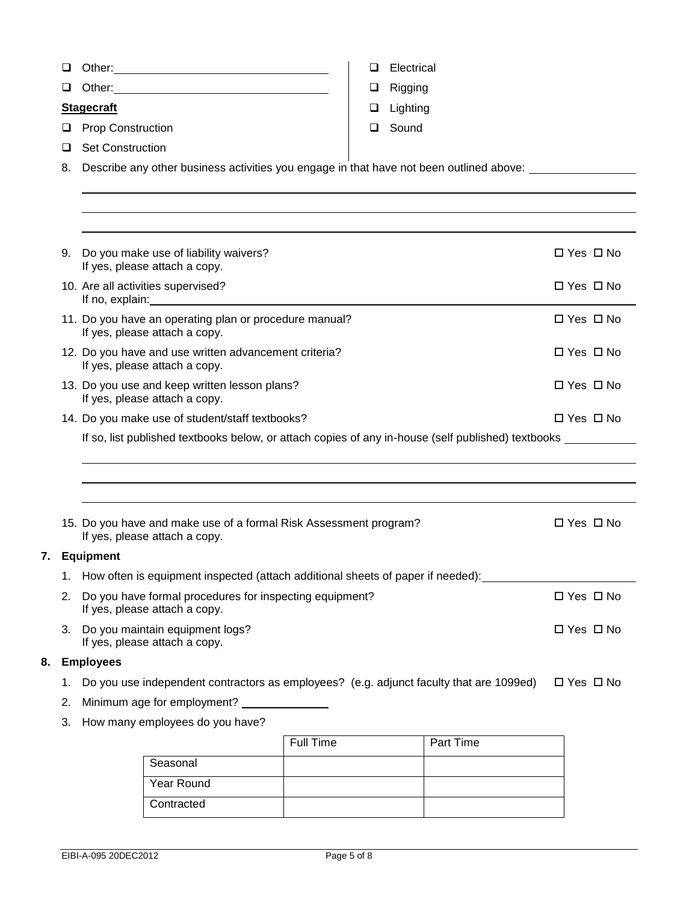|    | ⊔  |                                                                                                    | Other: New York Changes and Changes and Changes and Changes and Changes and Changes and Changes and Changes and Changes and Changes and Changes and Changes and Changes and Changes and Changes and Changes and Changes and Ch                                       |           | Electrical |           |                      |
|----|----|----------------------------------------------------------------------------------------------------|----------------------------------------------------------------------------------------------------------------------------------------------------------------------------------------------------------------------------------------------------------------------|-----------|------------|-----------|----------------------|
|    | ❏  |                                                                                                    |                                                                                                                                                                                                                                                                      | ⊔         | Rigging    |           |                      |
|    |    | <b>Stagecraft</b>                                                                                  |                                                                                                                                                                                                                                                                      | ⊔         | Lighting   |           |                      |
|    | u  | <b>Prop Construction</b>                                                                           |                                                                                                                                                                                                                                                                      | ப         | Sound      |           |                      |
|    | ப  | <b>Set Construction</b>                                                                            |                                                                                                                                                                                                                                                                      |           |            |           |                      |
|    | 8. |                                                                                                    | Describe any other business activities you engage in that have not been outlined above: ___________                                                                                                                                                                  |           |            |           |                      |
|    |    |                                                                                                    |                                                                                                                                                                                                                                                                      |           |            |           |                      |
|    |    |                                                                                                    |                                                                                                                                                                                                                                                                      |           |            |           |                      |
|    |    |                                                                                                    |                                                                                                                                                                                                                                                                      |           |            |           |                      |
|    | 9. |                                                                                                    | Do you make use of liability waivers?<br>If yes, please attach a copy.                                                                                                                                                                                               |           |            |           | □ Yes □ No           |
|    |    |                                                                                                    | 10. Are all activities supervised?<br>If no, explain: The contract of the contract of the contract of the contract of the contract of the contract of the contract of the contract of the contract of the contract of the contract of the contract of the contract o |           |            |           | $\Box$ Yes $\Box$ No |
|    |    |                                                                                                    | 11. Do you have an operating plan or procedure manual?<br>If yes, please attach a copy.                                                                                                                                                                              |           |            |           | $\Box$ Yes $\Box$ No |
|    |    |                                                                                                    | 12. Do you have and use written advancement criteria?<br>If yes, please attach a copy.                                                                                                                                                                               |           |            |           | $\Box$ Yes $\Box$ No |
|    |    |                                                                                                    | 13. Do you use and keep written lesson plans?<br>If yes, please attach a copy.                                                                                                                                                                                       |           |            |           | $\Box$ Yes $\Box$ No |
|    |    |                                                                                                    | 14. Do you make use of student/staff textbooks?                                                                                                                                                                                                                      |           |            |           | $\Box$ Yes $\Box$ No |
|    |    | If so, list published textbooks below, or attach copies of any in-house (self published) textbooks |                                                                                                                                                                                                                                                                      |           |            |           |                      |
|    |    |                                                                                                    |                                                                                                                                                                                                                                                                      |           |            |           |                      |
|    |    |                                                                                                    |                                                                                                                                                                                                                                                                      |           |            |           |                      |
|    |    |                                                                                                    |                                                                                                                                                                                                                                                                      |           |            |           |                      |
|    |    |                                                                                                    | 15. Do you have and make use of a formal Risk Assessment program?<br>If yes, please attach a copy.                                                                                                                                                                   |           |            |           | $\Box$ Yes $\Box$ No |
|    |    | 7. Equipment                                                                                       |                                                                                                                                                                                                                                                                      |           |            |           |                      |
|    | 1. |                                                                                                    | How often is equipment inspected (attach additional sheets of paper if needed):                                                                                                                                                                                      |           |            |           |                      |
|    | 2. |                                                                                                    | Do you have formal procedures for inspecting equipment?<br>If yes, please attach a copy.                                                                                                                                                                             |           |            |           | □ Yes □ No           |
|    |    |                                                                                                    | 3. Do you maintain equipment logs?<br>If yes, please attach a copy.                                                                                                                                                                                                  |           |            |           | $\Box$ Yes $\Box$ No |
| 8. |    | <b>Employees</b>                                                                                   |                                                                                                                                                                                                                                                                      |           |            |           |                      |
|    | 1. |                                                                                                    | Do you use independent contractors as employees? (e.g. adjunct faculty that are 1099ed)                                                                                                                                                                              |           |            |           | $\Box$ Yes $\Box$ No |
|    | 2. |                                                                                                    | Minimum age for employment?                                                                                                                                                                                                                                          |           |            |           |                      |
|    | 3. |                                                                                                    | How many employees do you have?                                                                                                                                                                                                                                      |           |            |           |                      |
|    |    |                                                                                                    |                                                                                                                                                                                                                                                                      | Full Time |            | Part Time |                      |
|    |    |                                                                                                    | Seasonal                                                                                                                                                                                                                                                             |           |            |           |                      |
|    |    |                                                                                                    | Year Round                                                                                                                                                                                                                                                           |           |            |           |                      |
|    |    |                                                                                                    | Contracted                                                                                                                                                                                                                                                           |           |            |           |                      |
|    |    |                                                                                                    |                                                                                                                                                                                                                                                                      |           |            |           |                      |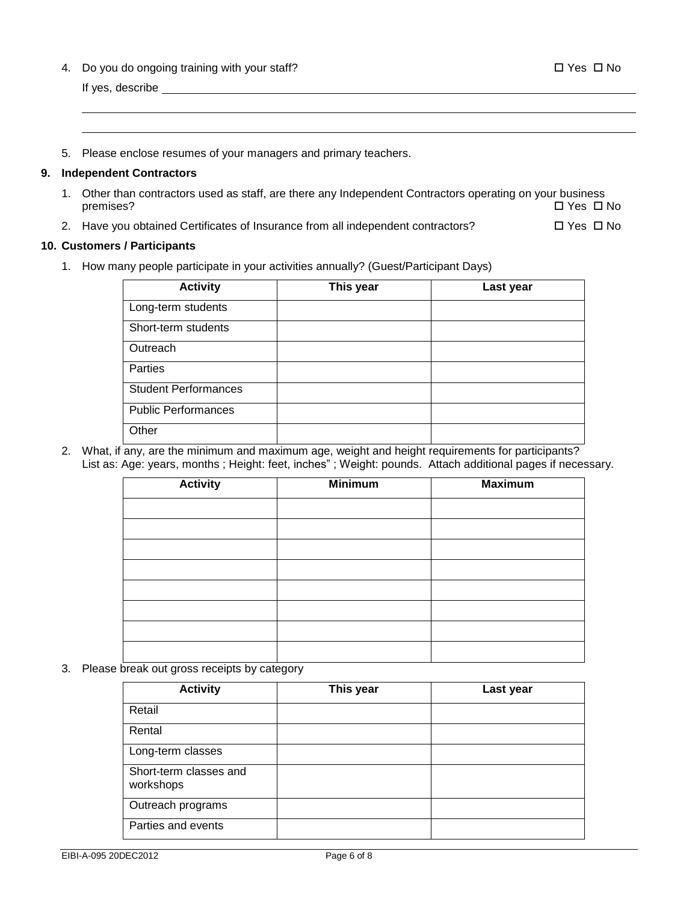4. Do you do ongoing training with your staff? 
West Theory and Theory is not the U.S. C. No. 2014

If yes, describe

5. Please enclose resumes of your managers and primary teachers.

### **9. Independent Contractors**

- 1. Other than contractors used as staff, are there any Independent Contractors operating on your business premises?  $\square$  Yes  $\square$  No
- 2. Have you obtained Certificates of Insurance from all independent contractors?  $\square$  Yes  $\square$  No

## **10. Customers / Participants**

1. How many people participate in your activities annually? (Guest/Participant Days)

| <b>Activity</b>             | This year | Last year |
|-----------------------------|-----------|-----------|
| Long-term students          |           |           |
| Short-term students         |           |           |
| Outreach                    |           |           |
| Parties                     |           |           |
| <b>Student Performances</b> |           |           |
| <b>Public Performances</b>  |           |           |
| Other                       |           |           |

2. What, if any, are the minimum and maximum age, weight and height requirements for participants? List as: Age: years, months ; Height: feet, inches" ; Weight: pounds. Attach additional pages if necessary.

| <b>Activity</b> | <b>Minimum</b> | <b>Maximum</b> |
|-----------------|----------------|----------------|
|                 |                |                |
|                 |                |                |
|                 |                |                |
|                 |                |                |
|                 |                |                |
|                 |                |                |
|                 |                |                |
|                 |                |                |

3. Please break out gross receipts by category

| <b>Activity</b>                     | This year | Last year |
|-------------------------------------|-----------|-----------|
| Retail                              |           |           |
| Rental                              |           |           |
| Long-term classes                   |           |           |
| Short-term classes and<br>workshops |           |           |
| Outreach programs                   |           |           |
| Parties and events                  |           |           |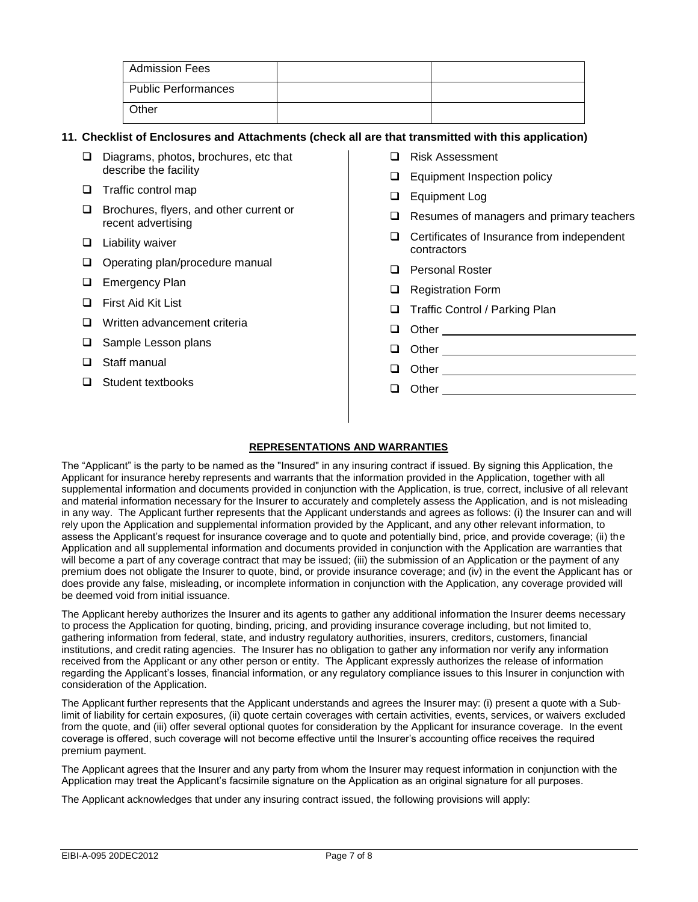| Admission Fees             |  |
|----------------------------|--|
| <b>Public Performances</b> |  |
| Other                      |  |

### **11. Checklist of Enclosures and Attachments (check all are that transmitted with this application)**

- Diagrams, photos, brochures, etc that describe the facility
- $\Box$  Traffic control map
- □ Brochures, flyers, and other current or recent advertising
- $\Box$  Liability waiver
- Operating plan/procedure manual
- □ Emergency Plan
- □ First Aid Kit List
- □ Written advancement criteria
- □ Sample Lesson plans
- □ Staff manual
- □ Student textbooks
- □ Risk Assessment
- **Equipment Inspection policy**
- **Equipment Log**
- $\Box$  Resumes of managers and primary teachers
- $\Box$  Certificates of Insurance from independent contractors
- □ Personal Roster
- □ Registration Form
- □ Traffic Control / Parking Plan
- **Other Communicate Communication**
- Other
- Other
- **Other Community Community Community Community Community Community Community**

## **REPRESENTATIONS AND WARRANTIES**

The "Applicant" is the party to be named as the "Insured" in any insuring contract if issued. By signing this Application, the Applicant for insurance hereby represents and warrants that the information provided in the Application, together with all supplemental information and documents provided in conjunction with the Application, is true, correct, inclusive of all relevant and material information necessary for the Insurer to accurately and completely assess the Application, and is not misleading in any way. The Applicant further represents that the Applicant understands and agrees as follows: (i) the Insurer can and will rely upon the Application and supplemental information provided by the Applicant, and any other relevant information, to assess the Applicant's request for insurance coverage and to quote and potentially bind, price, and provide coverage; (ii) the Application and all supplemental information and documents provided in conjunction with the Application are warranties that will become a part of any coverage contract that may be issued; (iii) the submission of an Application or the payment of any premium does not obligate the Insurer to quote, bind, or provide insurance coverage; and (iv) in the event the Applicant has or does provide any false, misleading, or incomplete information in conjunction with the Application, any coverage provided will be deemed void from initial issuance.

The Applicant hereby authorizes the Insurer and its agents to gather any additional information the Insurer deems necessary to process the Application for quoting, binding, pricing, and providing insurance coverage including, but not limited to, gathering information from federal, state, and industry regulatory authorities, insurers, creditors, customers, financial institutions, and credit rating agencies. The Insurer has no obligation to gather any information nor verify any information received from the Applicant or any other person or entity. The Applicant expressly authorizes the release of information regarding the Applicant's losses, financial information, or any regulatory compliance issues to this Insurer in conjunction with consideration of the Application.

The Applicant further represents that the Applicant understands and agrees the Insurer may: (i) present a quote with a Sublimit of liability for certain exposures, (ii) quote certain coverages with certain activities, events, services, or waivers excluded from the quote, and (iii) offer several optional quotes for consideration by the Applicant for insurance coverage. In the event coverage is offered, such coverage will not become effective until the Insurer's accounting office receives the required premium payment.

The Applicant agrees that the Insurer and any party from whom the Insurer may request information in conjunction with the Application may treat the Applicant's facsimile signature on the Application as an original signature for all purposes.

The Applicant acknowledges that under any insuring contract issued, the following provisions will apply: